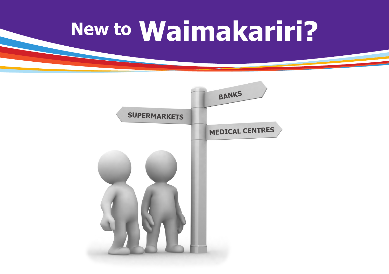# **New to Waimakariri?**

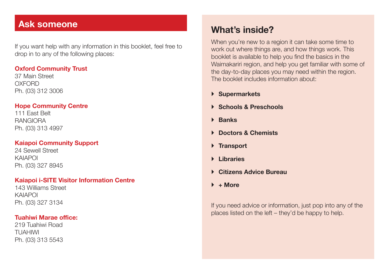## **Ask someone**

If you want help with any information in this booklet, feel free to drop in to any of the following places:

#### **Oxford Community Trust**

37 Main Street **OXFORD** Ph. (03) 312 3006

#### **Hope Community Centre**

111 East Belt RANGIORA Ph. (03) 313 4997

#### **Kaiapoi Community Support**

24 Sewell Street KAIAPOI Ph. (03) 327 8945

#### **Kaiapoi i-SITE Visitor Information Centre**

143 Williams Street KAIAPOI Ph. (03) 327 3134

#### **Tuahiwi Marae office:**

219 Tuahiwi Road TUAHIWI Ph. (03) 313 5543

# **What's inside?**

When you're new to a region it can take some time to work out where things are, and how things work. This booklet is available to help you find the basics in the Waimakariri region, and help you get familiar with some of the day-to-day places you may need within the region. The booklet includes information about:

- } **Supermarkets**
- } **Schools & Preschools**
- } **Banks**
- } **Doctors & Chemists**
- } **Transport**
- } **Libraries**
- } **Citizens Advice Bureau**
- } **+ More**

If you need advice or information, just pop into any of the places listed on the left – they'd be happy to help.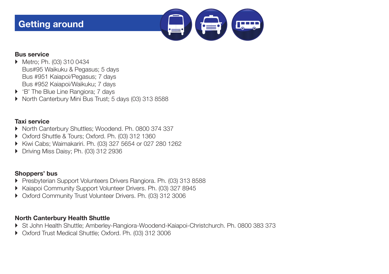# **Getting around**



#### **Bus service**

- } Metro; Ph. (03) 310 0434 Bus#95 Waikuku & Pegasus; 5 days Bus #951 Kaiapoi/Pegasus; 7 days Bus #952 Kaiapoi/Waikuku; 7 days
- } 'B' The Blue Line Rangiora; 7 days
- } North Canterbury Mini Bus Trust; 5 days (03) 313 8588

#### **Taxi service**

- } North Canterbury Shuttles; Woodend. Ph. 0800 374 337
- } Oxford Shuttle & Tours; Oxford. Ph. (03) 312 1360
- } Kiwi Cabs; Waimakariri. Ph. (03) 327 5654 or 027 280 1262
- } Driving Miss Daisy; Ph. (03) 312 2936

#### **Shoppers' bus**

- } Presbyterian Support Volunteers Drivers Rangiora. Ph. (03) 313 8588
- } Kaiapoi Community Support Volunteer Drivers. Ph. (03) 327 8945
- } Oxford Community Trust Volunteer Drivers. Ph. (03) 312 3006

#### **North Canterbury Health Shuttle**

- } St John Health Shuttle; Amberley-Rangiora-Woodend-Kaiapoi-Christchurch. Ph. 0800 383 373
- } Oxford Trust Medical Shuttle; Oxford. Ph. (03) 312 3006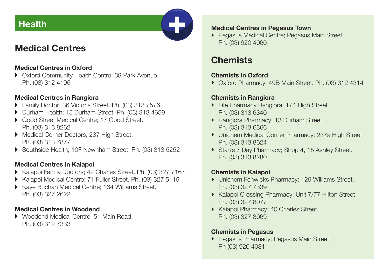# **Medical Centres**

#### **Medical Centres in Oxford**

} Oxford Community Health Centre; 39 Park Avenue. Ph. (03) 312 4195

#### **Medical Centres in Rangiora**

- } Family Doctor; 36 Victoria Street. Ph. (03) 313 7576
- } Durham Health; 15 Durham Street. Ph. (03) 313 4659
- } Good Street Medical Centre; 17 Good Street. Ph. (03) 313 8262
- } Medical Corner Doctors; 237 High Street. Ph. (03) 313 7877
- } Southside Health; 10F Newnham Street. Ph. (03) 313 5252

#### **Medical Centres in Kaiapoi**

- } Kaiapoi Family Doctors; 42 Charles Street. Ph. (03) 327 7167
- } Kaiapoi Medical Centre; 71 Fuller Street. Ph. (03) 327 5115
- } Kaye Buchan Medical Centre; 164 Williams Street. Ph. (03) 327 2622

#### **Medical Centres in Woodend**

} Woodend Medical Centre; 51 Main Road. Ph. (03) 312 7333

# **Health Medical Centres in Pegasus Town**

▶ Pegasus Medical Centre; Pegasus Main Street. Ph. (03) 920 4060

# **Chemists**

#### **Chemists in Oxford**

} Oxford Pharmacy; 49B Main Street. Ph. (03) 312 4314

#### **Chemists in Rangiora**

- ▶ Life Pharmacy Rangiora; 174 High Street Ph. (03) 313 6340
- ▶ Rangiora Pharmacy; 13 Durham Street. Ph. (03) 313 6366
- ▶ Unichem Medical Corner Pharmacy: 237a High Street. Ph. (03) 313 8624
- ▶ Stan's 7 Day Pharmacy; Shop 4, 15 Ashley Street. Ph. (03) 313 8280

#### **Chemists in Kaiapoi**

- } Unichem Fenwicks Pharmacy; 129 Williams Street. Ph. (03) 327 7339
- ▶ Kaiapoi Crossing Pharmacy; Unit 7/77 Hilton Street. Ph. (03) 327 8077
- } Kaiapoi Pharmacy; 40 Charles Street. Ph. (03) 327 8069

#### **Chemists in Pegasus**

**Pegasus Pharmacy; Pegasus Main Street.** Ph (03) 920 4081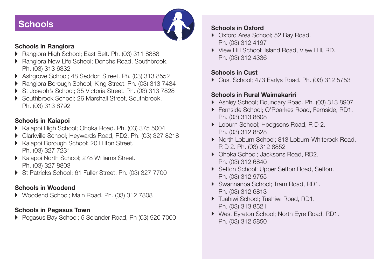

#### **Schools in Rangiora**

- } Rangiora High School; East Belt. Ph. (03) 311 8888
- } Rangiora New Life School; Denchs Road, Southbrook. Ph. (03) 313 6332
- } Ashgrove School; 48 Seddon Street. Ph. (03) 313 8552
- } Rangiora Borough School; King Street. Ph. (03) 313 7434
- } St Joseph's School; 35 Victoria Street. Ph. (03) 313 7828
- ▶ Southbrook School; 26 Marshall Street, Southbrook. Ph. (03) 313 8792

#### **Schools in Kaiapoi**

- } Kaiapoi High School; Ohoka Road. Ph. (03) 375 5004
- } Clarkville School; Heywards Road, RD2. Ph. (03) 327 8218
- } Kaiapoi Borough School; 20 Hilton Street. Ph. (03) 327 7231
- } Kaiapoi North School; 278 Williams Street. Ph. (03) 327 8803
- } St Patricks School; 61 Fuller Street. Ph. (03) 327 7700

### **Schools in Woodend**

} Woodend School; Main Road. Ph. (03) 312 7808

#### **Schools in Pegasus Town**

Pegasus Bay School; 5 Solander Road, Ph (03) 920 7000

- } Oxford Area School; 52 Bay Road. Ph. (03) 312 4197
- } View Hill School; Island Road, View Hill, RD. Ph. (03) 312 4336

### **Schools in Cust**

} Cust School; 473 Earlys Road. Ph. (03) 312 5753

#### **Schools in Rural Waimakariri**

- } Ashley School; Boundary Road. Ph. (03) 313 8907
- } Fernside School; O'Roarkes Road, Fernside, RD1. Ph. (03) 313 8608
- } Loburn School; Hodgsons Road, R D 2. Ph. (03) 312 8828
- } North Loburn School; 813 Loburn-Whiterock Road, R D 2. Ph. (03) 312 8852
- } Ohoka School; Jacksons Road, RD2. Ph. (03) 312 6840
- ▶ Sefton School; Upper Sefton Road, Sefton. Ph. (03) 312 9755
- ▶ Swannanoa School; Tram Road, RD1. Ph. (03) 312 6813
- } Tuahiwi School; Tuahiwi Road, RD1. Ph. (03) 313 8521
- } West Eyreton School; North Eyre Road, RD1. Ph. (03) 312 5850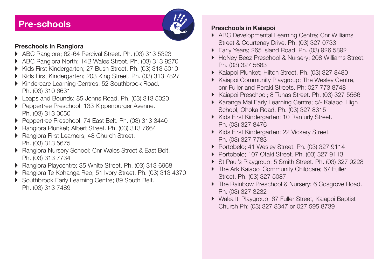# **Pre-schools Pre-schools Preschools Preschools** in Kaiapoi



#### **Preschools in Rangiora**

- } ABC Rangiora; 62-64 Percival Street. Ph. (03) 313 5323
- } ABC Rangiora North; 14B Wales Street. Ph. (03) 313 9270
- } Kids First Kindergarten; 27 Bush Street. Ph. (03) 313 5010
- } Kids First Kindergarten; 203 King Street. Ph. (03) 313 7827
- } Kindercare Learning Centres; 52 Southbrook Road. Ph. (03) 310 6631
- } Leaps and Bounds; 85 Johns Road. Ph. (03) 313 5020
- } Peppertree Preschool; 133 Kippenburger Avenue. Ph. (03) 313 0050
- } Peppertree Preschool; 74 East Belt. Ph. (03) 313 3440
- } Rangiora Plunket; Albert Street. Ph. (03) 313 7664
- ▶ Rangiora First Learners; 48 Church Street. Ph. (03) 313 5675
- } Rangiora Nursery School; Cnr Wales Street & East Belt. Ph. (03) 313 7734
- } Rangiora Playcentre; 35 White Street. Ph. (03) 313 6968
- } Rangiora Te Kohanga Reo; 51 Ivory Street. Ph. (03) 313 4370
- ▶ Southbrook Early Learning Centre; 89 South Belt. Ph. (03) 313 7489

- ▶ ABC Developmental Learning Centre: Cnr Williams Street & Courtenay Drive. Ph. (03) 327 0733
- } Early Years; 265 Island Road. Ph. (03) 926 5892
- ▶ HoNey Beez Preschool & Nursery: 208 Williams Street. Ph. (03) 327 5683
- } Kaiapoi Plunket; Hilton Street. Ph. (03) 327 8480
- ▶ Kaiapoi Community Playgroup: The Wesley Centre, cnr Fuller and Peraki Streets. Ph: 027 773 8748
- } Kaiapoi Preschool; 8 Tunas Street. Ph. (03) 327 5566
- } Karanga Mai Early Learning Centre; c/- Kaiapoi High School, Ohoka Road. Ph. (03) 327 8315
- } Kids First Kindergarten; 10 Ranfurly Street. Ph. (03) 327 8476
- } Kids First Kindergarten; 22 Vickery Street. Ph. (03) 327 7783
- } Portobelo; 41 Wesley Street. Ph. (03) 327 9114
- } Portobelo; 107 Otaki Street. Ph. (03) 327 9113
- } St Paul's Playgroup; 5 Smith Street. Ph. (03) 327 9228
- ▶ The Ark Kaiapoi Community Childcare; 67 Fuller Street. Ph. (03) 327 5087
- ▶ The Rainbow Preschool & Nursery; 6 Cosgrove Road. Ph. (03) 327 3232
- } Waka Iti Playgroup; 67 Fuller Street, Kaiapoi Baptist Church Ph: (03) 327 8347 or 027 595 8739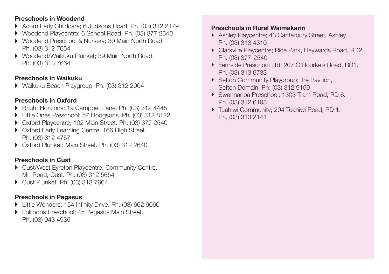#### **Preschools in Woodend**

- } Acorn Early Childcare; 6 Judsons Road. Ph. (03) 312 2179
- } Woodend Playcentre; 6 School Road. Ph. (03) 377 2540
- } Woodend Preschool & Nursery; 30 Main North Road. Ph. (03) 312 7654
- } Woodend/Waikuku Plunket; 39 Main North Road. Ph. (03) 313 7664

### **Preschools in Waikuku**

} Waikuku Beach Playgroup. Ph. (03) 312 2904

### **Preschools in Oxford**

- } Bright Horizons; 1a Campbell Lane. Ph. (03) 312 4445
- } Little Ones Preschool; 57 Hodgsons. Ph. (03) 312 8122
- } Oxford Playcentre; 102 Main Street. Ph. (03) 377 2540
- ▶ Oxford Early Learning Centre; 166 High Street. Ph. (03) 312 4757
- } Oxford Plunket; Main Street. Ph. (03) 312 2640

### **Preschools in Cust**

- } Cust/West Eyreton Playcentre; Community Centre, Mill Road, Cust. Ph. (03) 312 5654
- } Cust Plunket. Ph. (03) 313 7664

### **Preschools in Pegasus**

- } Little Wonders; 154 Infinity Drive. Ph: (03) 662 9060
- ▶ Lollipops Preschool; 45 Pegasus Main Street. Ph. (03) 943 4935

### **Preschools in Rural Waimakariri**

- } Ashley Playcentre; 43 Canterbury Street, Ashley. Ph. (03) 313 4310
- } Clarkville Playcentre; Rice Park, Heywards Road, RD2. Ph. (03) 377-2540
- } Fernside Preschool Ltd; 207 O'Rourke's Road, RD1. Ph. (03) 313 6733
- ▶ Sefton Community Playgroup; the Pavilion, Sefton Domain. Ph: (03) 312 9159
- ▶ Swannanoa Preschool: 1303 Tram Road, RD 6. Ph. (03) 312 6198
- } Tuahiwi Community; 204 Tuahiwi Road, RD 1. Ph. (03) 313 2141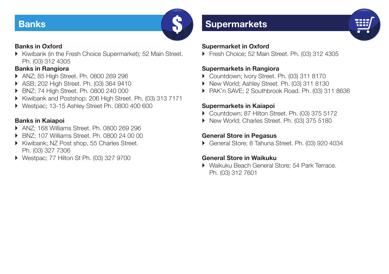

#### **Banks in Oxford**

} Kiwibank (in the Fresh Choice Supermarket); 52 Main Street. Ph. (03) 312 4305

### **Banks in Rangiora**

- } ANZ; 85 High Street. Ph. 0800 269 296
- } ASB; 202 High Street. Ph. (03) 364 9410
- } BNZ; 74 High Street. Ph. 0800 240 000
- } Kiwibank and Postshop: 206 High Street. Ph. (03) 313 7171
- } Westpac; 13-15 Ashley Street Ph. 0800 400 600

### **Banks in Kaiapoi**

- } ANZ; 168 Williams Street. Ph. 0800 269 296
- } BNZ; 107 Williams Street. Ph. 0800 24 00 00
- } Kiwibank; NZ Post shop, 55 Charles Street. Ph. (03) 327 7306
- } Westpac; 77 Hilton St Ph. (03) 327 9700

# **Supermarkets**

#### **Supermarket in Oxford**

} Fresh Choice; 52 Main Street. Ph. (03) 312 4305

#### **Supermarkets in Rangiora**

- } Countdown; Ivory Street. Ph. (03) 311 8170
- } New World; Ashley Street. Ph. (03) 311 8130
- } PAK'n SAVE; 2 Southbrook Road. Ph. (03) 311 8636

#### **Supermarkets in Kaiapoi**

- } Countdown; 87 Hilton Street. Ph. (03) 375 5172
- } New World; Charles Street. Ph. (03) 375 5180

### **General Store in Pegasus**

} General Store; 8 Tahuna Street. Ph. (03) 920 4034

### **General Store in Waikuku**

} Waikuku Beach General Store; 54 Park Terrace. Ph. (03) 312 7601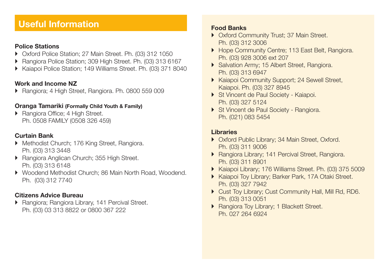# **Useful Information**

#### **Police Stations**

- } Oxford Police Station; 27 Main Street. Ph. (03) 312 1050
- } Rangiora Police Station; 309 High Street. Ph. (03) 313 6167
- } Kaiapoi Police Station; 149 Williams Street. Ph. (03) 371 8040

#### **Work and Income NZ**

} Rangiora; 4 High Street, Rangiora. Ph. 0800 559 009

#### **Oranga Tamariki (Formally Child Youth & Family)**

▶ Rangiora Office; 4 High Street. Ph. 0508 FAMILY (0508 326 459)

### **Curtain Bank**

- } Methodist Church; 176 King Street, Rangiora. Ph. (03) 313 3448
- } Rangiora Anglican Church; 355 High Street. Ph. (03) 313 6148
- } Woodend Methodist Church; 86 Main North Road, Woodend. Ph. (03) 312 7740

#### **Citizens Advice Bureau**

▶ Rangiora; Rangiora Library, 141 Percival Street. Ph. (03) 03 313 8822 or 0800 367 222

- ▶ Oxford Community Trust; 37 Main Street. Ph. (03) 312 3006
- ▶ Hope Community Centre; 113 East Belt, Rangiora. Ph. (03) 928 3006 ext 207
- ▶ Salvation Army; 15 Albert Street, Rangiora. Ph. (03) 313 6947
- ▶ Kaiapoi Community Support; 24 Sewell Street, Kaiapoi. Ph. (03) 327 8945
- ▶ St Vincent de Paul Society Kaiapoi. Ph. (03) 327 5124
- ▶ St Vincent de Paul Society Rangiora. Ph. (021) 083 5454

#### **Libraries**

- } Oxford Public Library; 34 Main Street, Oxford. Ph. (03) 311 9006
- ▶ Rangiora Library; 141 Percival Street, Rangiora. Ph. (03) 311 8901
- } Kaiapoi Library; 176 Williams Street. Ph. (03) 375 5009
- ▶ Kaiapoi Toy Library; Barker Park, 17A Otaki Street. Ph. (03) 327 7942
- ▶ Cust Toy Library; Cust Community Hall, Mill Rd. RD6. Ph. (03) 313 0051
- ▶ Rangiora Toy Library; 1 Blackett Street. Ph. 027 264 6924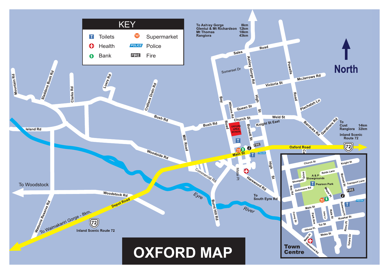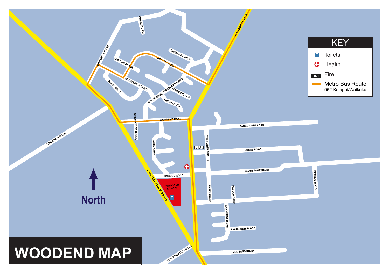